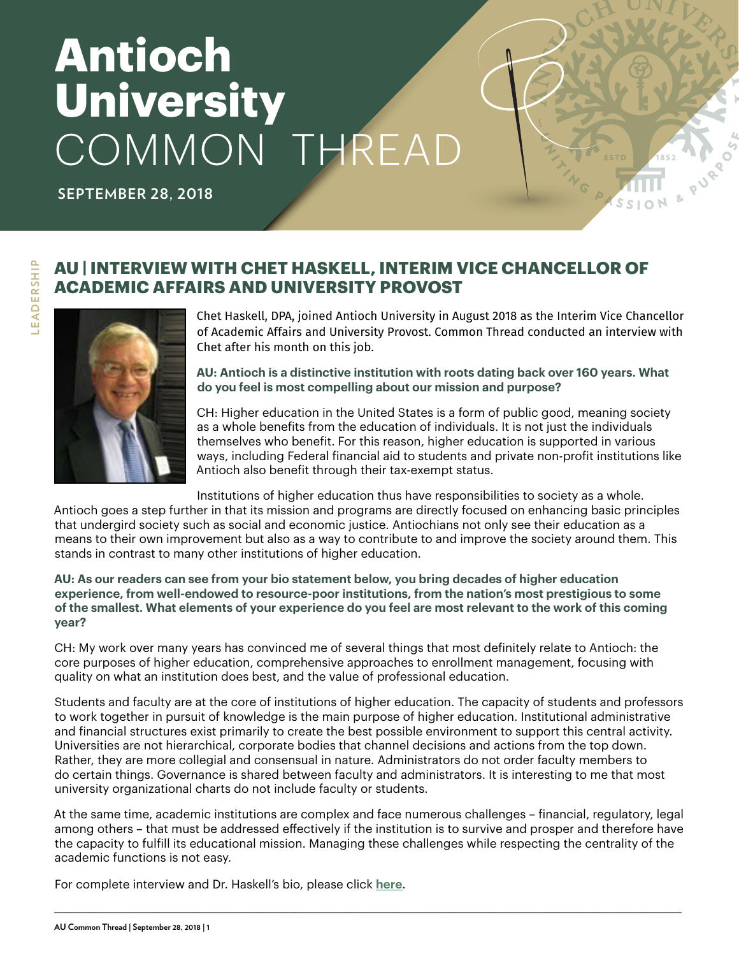# **Antioch University** COMMON THREAD

**SEPTEMBER 28, 2018**

#### **AU | INTERVIEW WITH CHET HASKELL, INTERIM VICE CHANCELLOR OF ACADEMIC AFFAIRS AND UNIVERSITY PROVOST**



Chet Haskell, DPA, joined Antioch University in August 2018 as the Interim Vice Chancellor of Academic Affairs and University Provost. Common Thread conducted an interview with Chet after his month on this job.

**AU: Antioch is a distinctive institution with roots dating back over 160 years. What do you feel is most compelling about our mission and purpose?** 

CH: Higher education in the United States is a form of public good, meaning society as a whole benefits from the education of individuals. It is not just the individuals themselves who benefit. For this reason, higher education is supported in various ways, including Federal financial aid to students and private non-profit institutions like Antioch also benefit through their tax-exempt status.

Institutions of higher education thus have responsibilities to society as a whole.

Antioch goes a step further in that its mission and programs are directly focused on enhancing basic principles that undergird society such as social and economic justice. Antiochians not only see their education as a means to their own improvement but also as a way to contribute to and improve the society around them. This stands in contrast to many other institutions of higher education.

**AU: As our readers can see from your bio statement below, you bring decades of higher education experience, from well-endowed to resource-poor institutions, from the nation's most prestigious to some of the smallest. What elements of your experience do you feel are most relevant to the work of this coming year?**

CH: My work over many years has convinced me of several things that most definitely relate to Antioch: the core purposes of higher education, comprehensive approaches to enrollment management, focusing with quality on what an institution does best, and the value of professional education.

Students and faculty are at the core of institutions of higher education. The capacity of students and professors to work together in pursuit of knowledge is the main purpose of higher education. Institutional administrative and financial structures exist primarily to create the best possible environment to support this central activity. Universities are not hierarchical, corporate bodies that channel decisions and actions from the top down. Rather, they are more collegial and consensual in nature. Administrators do not order faculty members to do certain things. Governance is shared between faculty and administrators. It is interesting to me that most university organizational charts do not include faculty or students.

At the same time, academic institutions are complex and face numerous challenges – financial, regulatory, legal among others – that must be addressed effectively if the institution is to survive and prosper and therefore have the capacity to fulfill its educational mission. Managing these challenges while respecting the centrality of the academic functions is not easy.

\_\_\_\_\_\_\_\_\_\_\_\_\_\_\_\_\_\_\_\_\_\_\_\_\_\_\_\_\_\_\_\_\_\_\_\_\_\_\_\_\_\_\_\_\_\_\_\_\_\_\_\_\_\_\_\_\_\_\_\_\_\_\_\_\_\_\_\_\_\_\_\_\_\_\_\_\_\_\_\_\_\_\_\_\_\_\_\_\_\_\_\_\_\_\_\_\_\_\_\_\_\_\_\_

For complete interview and Dr. Haskell's bio, please click **[here](https://www.antioch.edu/blog/2018/09/27/meet-interview-with-chet-haskell-interim-vice-chancellor-of-academic-affairs-and-university-provost/)**.

EADERSHIP **LEADERSHIP**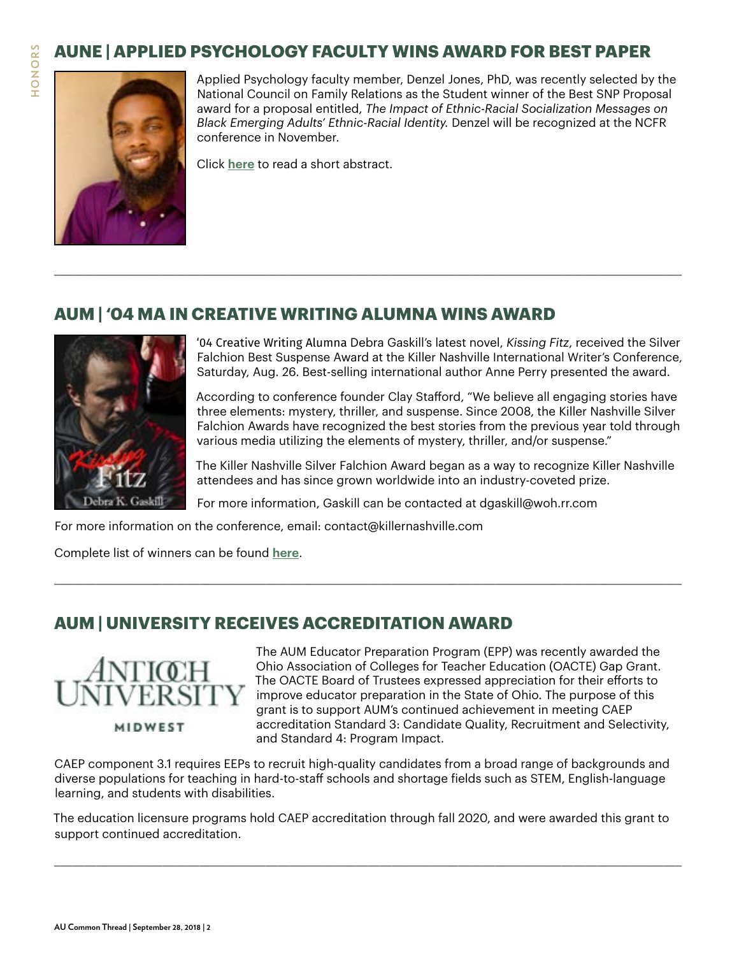# **AUNE | APPLIED PSYCHOLOGY FACULTY WINS AWARD FOR BEST PAPER**

\_\_\_\_\_\_\_\_\_\_\_\_\_\_\_\_\_\_\_\_\_\_\_\_\_\_\_\_\_\_\_\_\_\_\_\_\_\_\_\_\_\_\_\_\_\_\_\_\_\_\_\_\_\_\_\_\_\_\_\_\_\_\_\_\_\_\_\_\_\_\_\_\_\_\_\_\_\_\_\_\_\_\_\_\_\_\_\_\_\_\_\_\_\_\_\_\_\_\_\_\_\_\_\_





Applied Psychology faculty member, Denzel Jones, PhD, was recently selected by the National Council on Family Relations as the Student winner of the Best SNP Proposal award for a proposal entitled, *The Impact of Ethnic-Racial Socialization Messages on Black Emerging Adults' Ethnic-Racial Identity.* Denzel will be recognized at the NCFR conference in November.

Click **[here](https://www.antioch.edu/new-england/2018/09/19/aune-applied-psychology-faculty-wins-award-for-best-paper/)** to read a short abstract.

#### **AUM | '04 MA IN CREATIVE WRITING ALUMNA WINS AWARD**



'04 Creative Writing Alumna Debra Gaskill's latest novel, *Kissing Fitz*, received the Silver Falchion Best Suspense Award at the Killer Nashville International Writer's Conference, Saturday, Aug. 26. Best-selling international author Anne Perry presented the award.

According to conference founder Clay Stafford, "We believe all engaging stories have three elements: mystery, thriller, and suspense. Since 2008, the Killer Nashville Silver Falchion Awards have recognized the best stories from the previous year told through various media utilizing the elements of mystery, thriller, and/or suspense."

The Killer Nashville Silver Falchion Award began as a way to recognize Killer Nashville attendees and has since grown worldwide into an industry-coveted prize.

For more information, Gaskill can be contacted at dgaskill@woh.rr.com

\_\_\_\_\_\_\_\_\_\_\_\_\_\_\_\_\_\_\_\_\_\_\_\_\_\_\_\_\_\_\_\_\_\_\_\_\_\_\_\_\_\_\_\_\_\_\_\_\_\_\_\_\_\_\_\_\_\_\_\_\_\_\_\_\_\_\_\_\_\_\_\_\_\_\_\_\_\_\_\_\_\_\_\_\_\_\_\_\_\_\_\_\_\_\_\_\_\_\_\_\_\_\_\_

For more information on the conference, email: contact@killernashville.com

Complete list of winners can be found **[here](https://killernashville.com/2018-killer-nashville- awards-winners/)**.

#### **AUM | UNIVERSITY RECEIVES ACCREDITATION AWARD**



MIDWEST

The AUM Educator Preparation Program (EPP) was recently awarded the Ohio Association of Colleges for Teacher Education (OACTE) Gap Grant. The OACTE Board of Trustees expressed appreciation for their efforts to improve educator preparation in the State of Ohio. The purpose of this grant is to support AUM's continued achievement in meeting CAEP accreditation Standard 3: Candidate Quality, Recruitment and Selectivity, and Standard 4: Program Impact.

CAEP component 3.1 requires EEPs to recruit high-quality candidates from a broad range of backgrounds and diverse populations for teaching in hard-to-staff schools and shortage fields such as STEM, English-language learning, and students with disabilities.

The education licensure programs hold CAEP accreditation through fall 2020, and were awarded this grant to support continued accreditation.

\_\_\_\_\_\_\_\_\_\_\_\_\_\_\_\_\_\_\_\_\_\_\_\_\_\_\_\_\_\_\_\_\_\_\_\_\_\_\_\_\_\_\_\_\_\_\_\_\_\_\_\_\_\_\_\_\_\_\_\_\_\_\_\_\_\_\_\_\_\_\_\_\_\_\_\_\_\_\_\_\_\_\_\_\_\_\_\_\_\_\_\_\_\_\_\_\_\_\_\_\_\_\_\_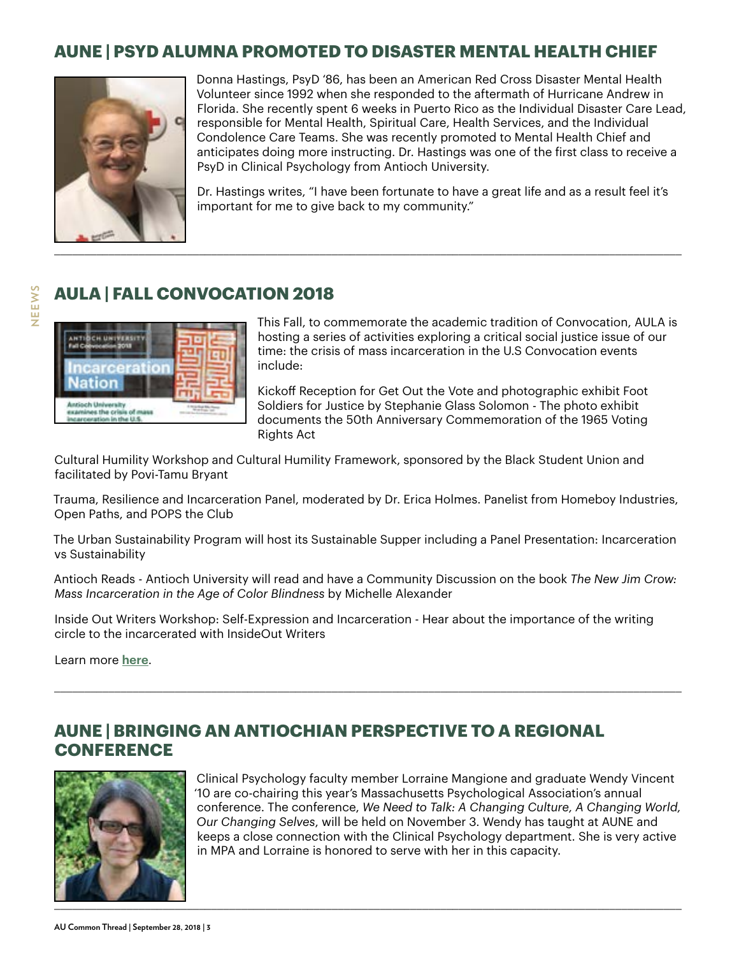#### **AUNE | PSYD ALUMNA PROMOTED TO DISASTER MENTAL HEALTH CHIEF**



Donna Hastings, PsyD '86, has been an American Red Cross Disaster Mental Health Volunteer since 1992 when she responded to the aftermath of Hurricane Andrew in Florida. She recently spent 6 weeks in Puerto Rico as the Individual Disaster Care Lead, responsible for Mental Health, Spiritual Care, Health Services, and the Individual Condolence Care Teams. She was recently promoted to Mental Health Chief and anticipates doing more instructing. Dr. Hastings was one of the first class to receive a PsyD in Clinical Psychology from Antioch University.

Dr. Hastings writes, "I have been fortunate to have a great life and as a result feel it's important for me to give back to my community."

#### **AULA | FALL CONVOCATION 2018**



This Fall, to commemorate the academic tradition of Convocation, AULA is hosting a series of activities exploring a critical social justice issue of our time: the crisis of mass incarceration in the U.S Convocation events include:

Kickoff Reception for Get Out the Vote and photographic exhibit Foot Soldiers for Justice by Stephanie Glass Solomon - The photo exhibit documents the 50th Anniversary Commemoration of the 1965 Voting Rights Act

Cultural Humility Workshop and Cultural Humility Framework, sponsored by the Black Student Union and facilitated by Povi-Tamu Bryant

Trauma, Resilience and Incarceration Panel, moderated by Dr. Erica Holmes. Panelist from Homeboy Industries, Open Paths, and POPS the Club

The Urban Sustainability Program will host its Sustainable Supper including a Panel Presentation: Incarceration vs Sustainability

Antioch Reads - Antioch University will read and have a Community Discussion on the book *The New Jim Crow: Mass Incarceration in the Age of Color Blindness* by Michelle Alexander

\_\_\_\_\_\_\_\_\_\_\_\_\_\_\_\_\_\_\_\_\_\_\_\_\_\_\_\_\_\_\_\_\_\_\_\_\_\_\_\_\_\_\_\_\_\_\_\_\_\_\_\_\_\_\_\_\_\_\_\_\_\_\_\_\_\_\_\_\_\_\_\_\_\_\_\_\_\_\_\_\_\_\_\_\_\_\_\_\_\_\_\_\_\_\_\_\_\_\_\_\_\_\_\_

Inside Out Writers Workshop: Self-Expression and Incarceration - Hear about the importance of the writing circle to the incarcerated with InsideOut Writers

Learn more **[here](https://www.antioch.edu/los-angeles/incarceration-nation/)**.

#### **AUNE | BRINGING AN ANTIOCHIAN PERSPECTIVE TO A REGIONAL CONFERENCE**



Clinical Psychology faculty member Lorraine Mangione and graduate Wendy Vincent '10 are co-chairing this year's Massachusetts Psychological Association's annual conference. The conference, *We Need to Talk: A Changing Culture, A Changing World, Our Changing Selves*, will be held on November 3. Wendy has taught at AUNE and keeps a close connection with the Clinical Psychology department. She is very active in MPA and Lorraine is honored to serve with her in this capacity.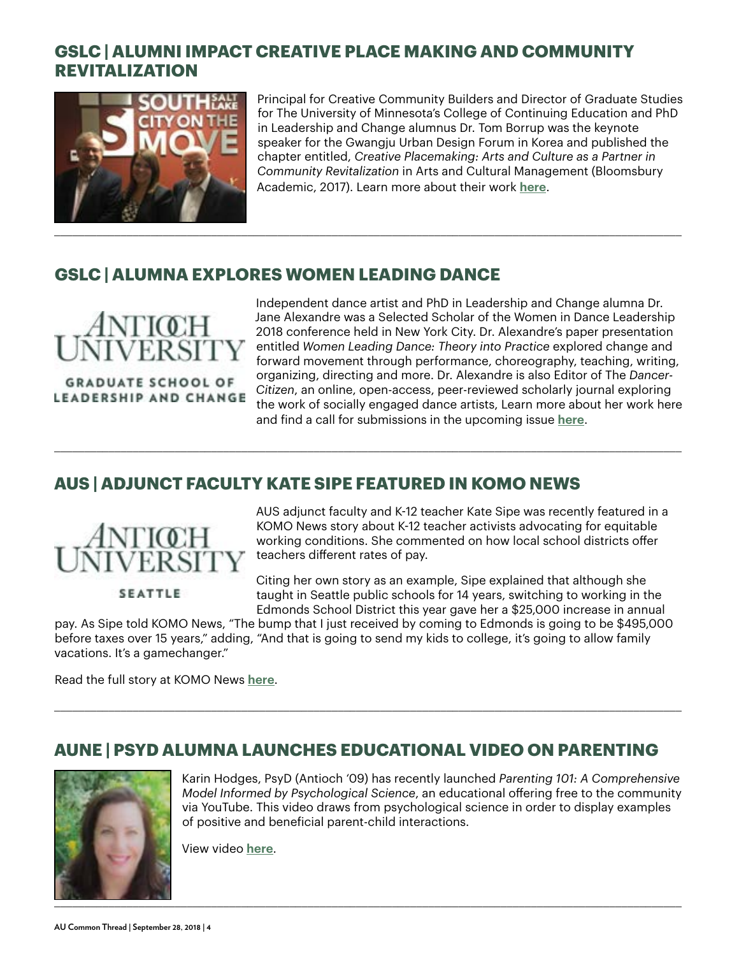#### **GSLC | ALUMNI IMPACT CREATIVE PLACE MAKING AND COMMUNITY REVITALIZATION**



Principal for Creative Community Builders and Director of Graduate Studies for The University of Minnesota's College of Continuing Education and PhD in Leadership and Change alumnus Dr. Tom Borrup was the keynote speaker for the Gwangju Urban Design Forum in Korea and published the chapter entitled, *Creative Placemaking: Arts and Culture as a Partner in Community Revitalization* in Arts and Cultural Management (Bloomsbury Academic, 2017). Learn more about their work **[here](https://www.sslarts.org/sslcreativeindustrieszone)**.

#### **GSLC | ALUMNA EXPLORES WOMEN LEADING DANCE**



**GRADUATE SCHOOL OF** LEADERSHIP AND CHANGE

Independent dance artist and PhD in Leadership and Change alumna Dr. Jane Alexandre was a Selected Scholar of the Women in Dance Leadership 2018 conference held in New York City. Dr. Alexandre's paper presentation entitled *Women Leading Dance: Theory into Practice* explored change and forward movement through performance, choreography, teaching, writing, organizing, directing and more. Dr. Alexandre is also Editor of The *Dancer-Citizen*, an online, open-access, peer-reviewed scholarly journal exploring the work of socially engaged dance artists, Learn more about her work here and find a call for submissions in the upcoming issue **[here](http://dancercitizen.org/editors-staff/)**.

#### **AUS | ADJUNCT FACULTY KATE SIPE FEATURED IN KOMO NEWS**



AUS adjunct faculty and K-12 teacher Kate Sipe was recently featured in a KOMO News story about K-12 teacher activists advocating for equitable working conditions. She commented on how local school districts offer teachers different rates of pay.

**SEATTLE** 

Citing her own story as an example, Sipe explained that although she taught in Seattle public schools for 14 years, switching to working in the Edmonds School District this year gave her a \$25,000 increase in annual

pay. As Sipe told KOMO News, "The bump that I just received by coming to Edmonds is going to be \$495,000 before taxes over 15 years," adding, "And that is going to send my kids to college, it's going to allow family vacations. It's a gamechanger."

\_\_\_\_\_\_\_\_\_\_\_\_\_\_\_\_\_\_\_\_\_\_\_\_\_\_\_\_\_\_\_\_\_\_\_\_\_\_\_\_\_\_\_\_\_\_\_\_\_\_\_\_\_\_\_\_\_\_\_\_\_\_\_\_\_\_\_\_\_\_\_\_\_\_\_\_\_\_\_\_\_\_\_\_\_\_\_\_\_\_\_\_\_\_\_\_\_\_\_\_\_\_\_\_

\_\_\_\_\_\_\_\_\_\_\_\_\_\_\_\_\_\_\_\_\_\_\_\_\_\_\_\_\_\_\_\_\_\_\_\_\_\_\_\_\_\_\_\_\_\_\_\_\_\_\_\_\_\_\_\_\_\_\_\_\_\_\_\_\_\_\_\_\_\_\_\_\_\_\_\_\_\_\_\_\_\_\_\_\_\_\_\_\_\_\_\_\_\_\_\_\_\_\_\_\_\_\_\_

Read the full story at KOMO News **[here](https://komonews.com/news/local/seattle-teachers-leaving-taking-jobs-in-high-paying-districts)**.

#### **AUNE | PSYD ALUMNA LAUNCHES EDUCATIONAL VIDEO ON PARENTING**



Karin Hodges, PsyD (Antioch '09) has recently launched *Parenting 101: A Comprehensive Model Informed by Psychological Science*, an educational offering free to the community via YouTube. This video draws from psychological science in order to display examples of positive and beneficial parent-child interactions.

View video **[here](https://youtu.be/9zbjPnANNnU)**.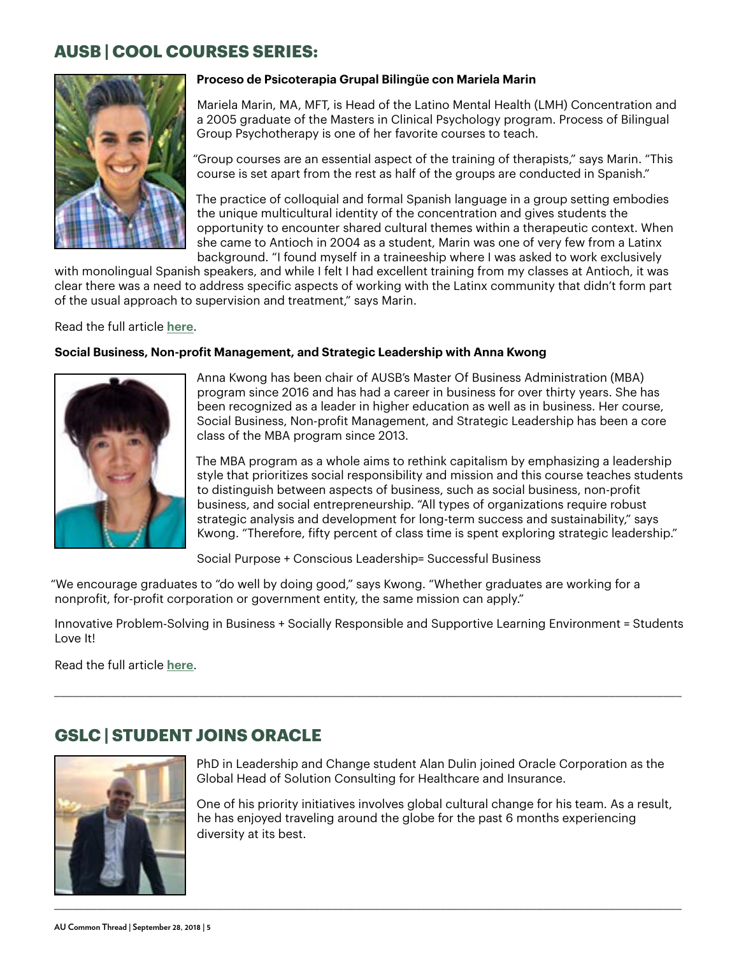#### **AUSB | COOL COURSES SERIES:**



#### **Proceso de Psicoterapia Grupal Bilingüe con Mariela Marin**

Mariela Marin, MA, MFT, is Head of the Latino Mental Health (LMH) Concentration and a 2005 graduate of the Masters in Clinical Psychology program. Process of Bilingual Group Psychotherapy is one of her favorite courses to teach.

"Group courses are an essential aspect of the training of therapists," says Marin. "This course is set apart from the rest as half of the groups are conducted in Spanish."

The practice of colloquial and formal Spanish language in a group setting embodies the unique multicultural identity of the concentration and gives students the opportunity to encounter shared cultural themes within a therapeutic context. When she came to Antioch in 2004 as a student, Marin was one of very few from a Latinx background. "I found myself in a traineeship where I was asked to work exclusively

with monolingual Spanish speakers, and while I felt I had excellent training from my classes at Antioch, it was clear there was a need to address specific aspects of working with the Latinx community that didn't form part of the usual approach to supervision and treatment," says Marin.

Read the full article **[here](https://www.antioch.edu/santa-barbara/2018/09/04/cool-courses-series-proceso-de-psicoterapia-grupal-bilingue-con-mariela-marin/)**.

#### **Social Business, Non-profit Management, and Strategic Leadership with Anna Kwong**



Anna Kwong has been chair of AUSB's Master Of Business Administration (MBA) program since 2016 and has had a career in business for over thirty years. She has been recognized as a leader in higher education as well as in business. Her course, Social Business, Non-profit Management, and Strategic Leadership has been a core class of the MBA program since 2013.

The MBA program as a whole aims to rethink capitalism by emphasizing a leadership style that prioritizes social responsibility and mission and this course teaches students to distinguish between aspects of business, such as social business, non-profit business, and social entrepreneurship. "All types of organizations require robust strategic analysis and development for long-term success and sustainability," says Kwong. "Therefore, fifty percent of class time is spent exploring strategic leadership."

Social Purpose + Conscious Leadership= Successful Business

"We encourage graduates to "do well by doing good," says Kwong. "Whether graduates are working for a nonprofit, for-profit corporation or government entity, the same mission can apply."

Innovative Problem-Solving in Business + Socially Responsible and Supportive Learning Environment = Students Love It!

\_\_\_\_\_\_\_\_\_\_\_\_\_\_\_\_\_\_\_\_\_\_\_\_\_\_\_\_\_\_\_\_\_\_\_\_\_\_\_\_\_\_\_\_\_\_\_\_\_\_\_\_\_\_\_\_\_\_\_\_\_\_\_\_\_\_\_\_\_\_\_\_\_\_\_\_\_\_\_\_\_\_\_\_\_\_\_\_\_\_\_\_\_\_\_\_\_\_\_\_\_\_\_\_

Read the full article **[here](https://www.antioch.edu/santa-barbara/2018/09/13/cool-courses-series-social-business-non-profit-management-and-strategic-leadership-with-anna-kwong/)**.

#### **GSLC | STUDENT JOINS ORACLE**



PhD in Leadership and Change student Alan Dulin joined Oracle Corporation as the Global Head of Solution Consulting for Healthcare and Insurance.

One of his priority initiatives involves global cultural change for his team. As a result, he has enjoyed traveling around the globe for the past 6 months experiencing diversity at its best.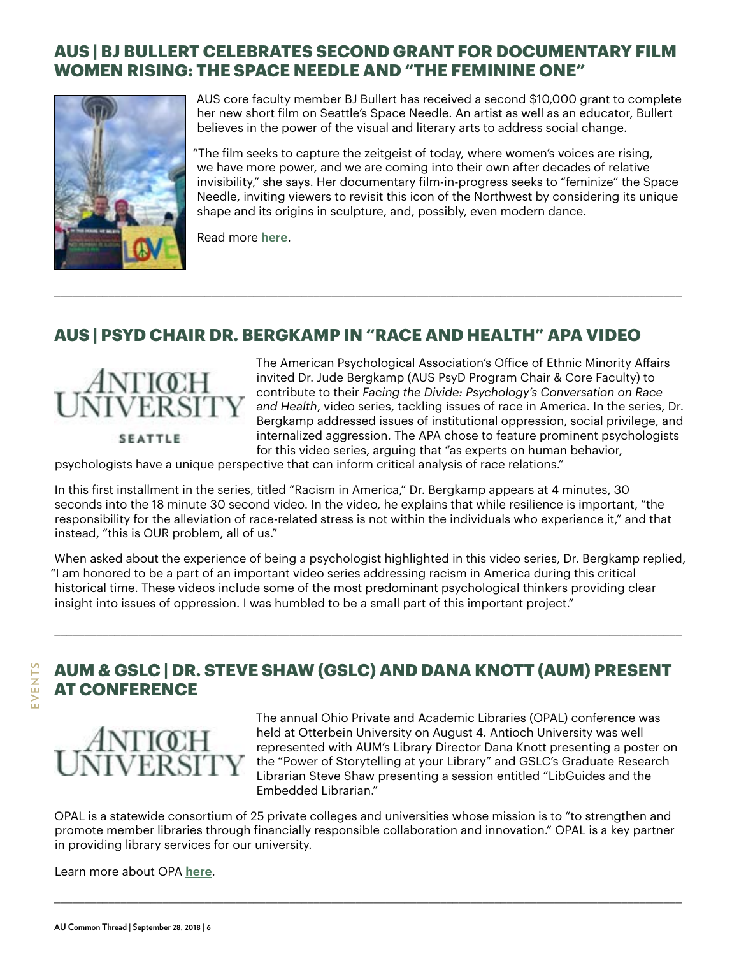#### **AUS | BJ BULLERT CELEBRATES SECOND GRANT FOR DOCUMENTARY FILM WOMEN RISING: THE SPACE NEEDLE AND "THE FEMININE ONE"**



AUS core faculty member BJ Bullert has received a second \$10,000 grant to complete her new short film on Seattle's Space Needle. An artist as well as an educator, Bullert believes in the power of the visual and literary arts to address social change.

"The film seeks to capture the zeitgeist of today, where women's voices are rising, we have more power, and we are coming into their own after decades of relative invisibility," she says. Her documentary film-in-progress seeks to "feminize" the Space Needle, inviting viewers to revisit this icon of the Northwest by considering its unique shape and its origins in sculpture, and, possibly, even modern dance.

Read more **[here](https://www.antioch.edu/seattle/2018/09/12/bj-bullert-celebrates-second-grant-for-documentary-film-women-rising-the-space-needle-and-the-feminine-one/)**.

#### **AUS | PSYD CHAIR DR. BERGKAMP IN "RACE AND HEALTH" APA VIDEO**

\_\_\_\_\_\_\_\_\_\_\_\_\_\_\_\_\_\_\_\_\_\_\_\_\_\_\_\_\_\_\_\_\_\_\_\_\_\_\_\_\_\_\_\_\_\_\_\_\_\_\_\_\_\_\_\_\_\_\_\_\_\_\_\_\_\_\_\_\_\_\_\_\_\_\_\_\_\_\_\_\_\_\_\_\_\_\_\_\_\_\_\_\_\_\_\_\_\_\_\_\_\_\_\_



The American Psychological Association's Office of Ethnic Minority Affairs invited Dr. Jude Bergkamp (AUS PsyD Program Chair & Core Faculty) to contribute to their *Facing the Divide: Psychology's Conversation on Race and Health*, video series, tackling issues of race in America. In the series, Dr. Bergkamp addressed issues of institutional oppression, social privilege, and internalized aggression. The APA chose to feature prominent psychologists for this video series, arguing that "as experts on human behavior,

psychologists have a unique perspective that can inform critical analysis of race relations."

In this first installment in the series, titled "Racism in America," Dr. Bergkamp appears at 4 minutes, 30 seconds into the 18 minute 30 second video. In the video, he explains that while resilience is important, "the responsibility for the alleviation of race-related stress is not within the individuals who experience it," and that instead, "this is OUR problem, all of us."

When asked about the experience of being a psychologist highlighted in this video series, Dr. Bergkamp replied, "I am honored to be a part of an important video series addressing racism in America during this critical historical time. These videos include some of the most predominant psychological thinkers providing clear insight into issues of oppression. I was humbled to be a small part of this important project."

\_\_\_\_\_\_\_\_\_\_\_\_\_\_\_\_\_\_\_\_\_\_\_\_\_\_\_\_\_\_\_\_\_\_\_\_\_\_\_\_\_\_\_\_\_\_\_\_\_\_\_\_\_\_\_\_\_\_\_\_\_\_\_\_\_\_\_\_\_\_\_\_\_\_\_\_\_\_\_\_\_\_\_\_\_\_\_\_\_\_\_\_\_\_\_\_\_\_\_\_\_\_\_\_

#### **AUM & GSLC | DR. STEVE SHAW (GSLC) AND DANA KNOTT (AUM) PRESENT AT CONFERENCE**



The annual Ohio Private and Academic Libraries (OPAL) conference was held at Otterbein University on August 4. Antioch University was well represented with AUM's Library Director Dana Knott presenting a poster on the "Power of Storytelling at your Library" and GSLC's Graduate Research Librarian Steve Shaw presenting a session entitled "LibGuides and the Embedded Librarian."

OPAL is a statewide consortium of 25 private colleges and universities whose mission is to "to strengthen and promote member libraries through financially responsible collaboration and innovation." OPAL is a key partner in providing library services for our university.

\_\_\_\_\_\_\_\_\_\_\_\_\_\_\_\_\_\_\_\_\_\_\_\_\_\_\_\_\_\_\_\_\_\_\_\_\_\_\_\_\_\_\_\_\_\_\_\_\_\_\_\_\_\_\_\_\_\_\_\_\_\_\_\_\_\_\_\_\_\_\_\_\_\_\_\_\_\_\_\_\_\_\_\_\_\_\_\_\_\_\_\_\_\_\_\_\_\_\_\_\_\_\_\_

Learn more about OPA **[here](http://opal-libraries.org/)**.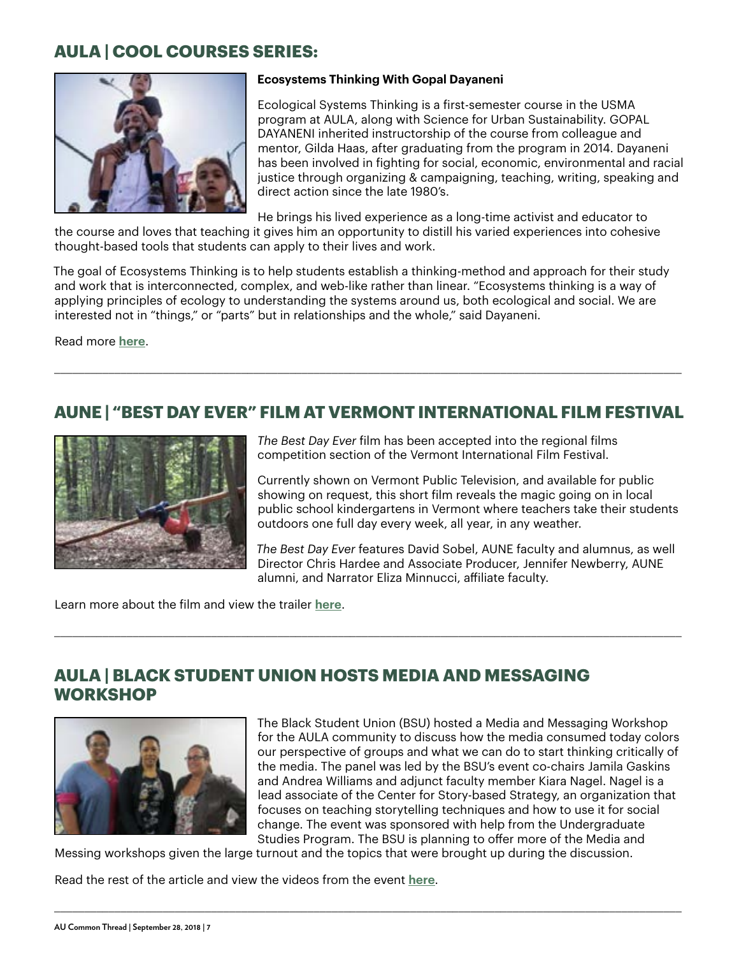#### **AULA | COOL COURSES SERIES:**



#### **Ecosystems Thinking With Gopal Dayaneni**

Ecological Systems Thinking is a first-semester course in the USMA program at AULA, along with Science for Urban Sustainability. GOPAL DAYANENI inherited instructorship of the course from colleague and mentor, Gilda Haas, after graduating from the program in 2014. Dayaneni has been involved in fighting for social, economic, environmental and racial justice through organizing & campaigning, teaching, writing, speaking and direct action since the late 1980's.

He brings his lived experience as a long-time activist and educator to

the course and loves that teaching it gives him an opportunity to distill his varied experiences into cohesive thought-based tools that students can apply to their lives and work.

The goal of Ecosystems Thinking is to help students establish a thinking-method and approach for their study and work that is interconnected, complex, and web-like rather than linear. "Ecosystems thinking is a way of applying principles of ecology to understanding the systems around us, both ecological and social. We are interested not in "things," or "parts" but in relationships and the whole," said Dayaneni.

Read more **[here](https://www.antioch.edu/los-angeles/2018/09/07/cool-courses-series-ecosystems-thinking-with-gopal-dayaneni/)**.

#### **AUNE | "BEST DAY EVER" FILM AT VERMONT INTERNATIONAL FILM FESTIVAL**

\_\_\_\_\_\_\_\_\_\_\_\_\_\_\_\_\_\_\_\_\_\_\_\_\_\_\_\_\_\_\_\_\_\_\_\_\_\_\_\_\_\_\_\_\_\_\_\_\_\_\_\_\_\_\_\_\_\_\_\_\_\_\_\_\_\_\_\_\_\_\_\_\_\_\_\_\_\_\_\_\_\_\_\_\_\_\_\_\_\_\_\_\_\_\_\_\_\_\_\_\_\_\_\_

\_\_\_\_\_\_\_\_\_\_\_\_\_\_\_\_\_\_\_\_\_\_\_\_\_\_\_\_\_\_\_\_\_\_\_\_\_\_\_\_\_\_\_\_\_\_\_\_\_\_\_\_\_\_\_\_\_\_\_\_\_\_\_\_\_\_\_\_\_\_\_\_\_\_\_\_\_\_\_\_\_\_\_\_\_\_\_\_\_\_\_\_\_\_\_\_\_\_\_\_\_\_\_\_



*The Best Day Ever* film has been accepted into the regional films competition section of the Vermont International Film Festival.

Currently shown on Vermont Public Television, and available for public showing on request, this short film reveals the magic going on in local public school kindergartens in Vermont where teachers take their students outdoors one full day every week, all year, in any weather.

*The Best Day Ever* features David Sobel, AUNE faculty and alumnus, as well Director Chris Hardee and Associate Producer, Jennifer Newberry, AUNE alumni, and Narrator Eliza Minnucci, affiliate faculty.

Learn more about the film and view the trailer **[here](https://www.antioch.edu/new-england/resources/community-resources/best-day-ever/)**.

#### **AULA | BLACK STUDENT UNION HOSTS MEDIA AND MESSAGING WORKSHOP**



The Black Student Union (BSU) hosted a Media and Messaging Workshop for the AULA community to discuss how the media consumed today colors our perspective of groups and what we can do to start thinking critically of the media. The panel was led by the BSU's event co-chairs Jamila Gaskins and Andrea Williams and adjunct faculty member Kiara Nagel. Nagel is a lead associate of the Center for Story-based Strategy, an organization that focuses on teaching storytelling techniques and how to use it for social change. The event was sponsored with help from the Undergraduate Studies Program. The BSU is planning to offer more of the Media and

Messing workshops given the large turnout and the topics that were brought up during the discussion.

\_\_\_\_\_\_\_\_\_\_\_\_\_\_\_\_\_\_\_\_\_\_\_\_\_\_\_\_\_\_\_\_\_\_\_\_\_\_\_\_\_\_\_\_\_\_\_\_\_\_\_\_\_\_\_\_\_\_\_\_\_\_\_\_\_\_\_\_\_\_\_\_\_\_\_\_\_\_\_\_\_\_\_\_\_\_\_\_\_\_\_\_\_\_\_\_\_\_\_\_\_\_\_\_

Read the rest of the article and view the videos from the event **[here](https://www.antioch.edu/los-angeles/2018/09/11/black-student-union-hosts-media-and-messaging-workshop/)**.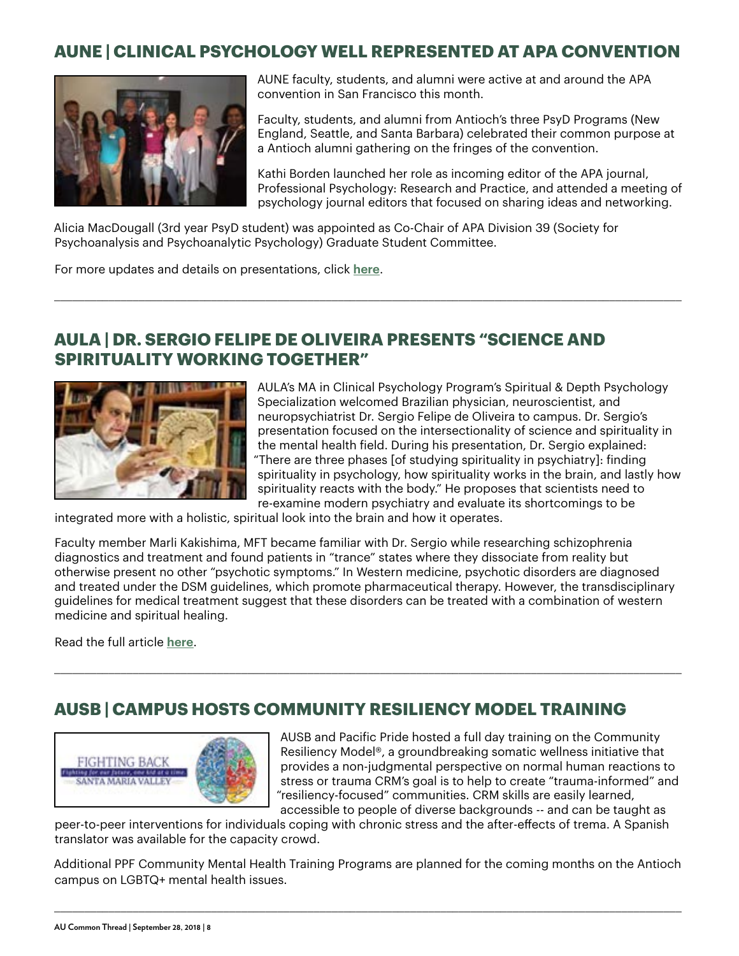#### **AUNE | CLINICAL PSYCHOLOGY WELL REPRESENTED AT APA CONVENTION**



AUNE faculty, students, and alumni were active at and around the APA convention in San Francisco this month.

Faculty, students, and alumni from Antioch's three PsyD Programs (New England, Seattle, and Santa Barbara) celebrated their common purpose at a Antioch alumni gathering on the fringes of the convention.

Kathi Borden launched her role as incoming editor of the APA journal, Professional Psychology: Research and Practice, and attended a meeting of psychology journal editors that focused on sharing ideas and networking.

Alicia MacDougall (3rd year PsyD student) was appointed as Co-Chair of APA Division 39 (Society for Psychoanalysis and Psychoanalytic Psychology) Graduate Student Committee.

\_\_\_\_\_\_\_\_\_\_\_\_\_\_\_\_\_\_\_\_\_\_\_\_\_\_\_\_\_\_\_\_\_\_\_\_\_\_\_\_\_\_\_\_\_\_\_\_\_\_\_\_\_\_\_\_\_\_\_\_\_\_\_\_\_\_\_\_\_\_\_\_\_\_\_\_\_\_\_\_\_\_\_\_\_\_\_\_\_\_\_\_\_\_\_\_\_\_\_\_\_\_\_\_

For more updates and details on presentations, click **[here](https://www.antioch.edu/new-england/2018/09/05/antioch-new-england-goes-to-the-126th-annual-meeting-of-the-american-psychological-association/)**.

#### **AULA | DR. SERGIO FELIPE DE OLIVEIRA PRESENTS "SCIENCE AND SPIRITUALITY WORKING TOGETHER"**



AULA's MA in Clinical Psychology Program's Spiritual & Depth Psychology Specialization welcomed Brazilian physician, neuroscientist, and neuropsychiatrist Dr. Sergio Felipe de Oliveira to campus. Dr. Sergio's presentation focused on the intersectionality of science and spirituality in the mental health field. During his presentation, Dr. Sergio explained: "There are three phases [of studying spirituality in psychiatry]: finding spirituality in psychology, how spirituality works in the brain, and lastly how spirituality reacts with the body." He proposes that scientists need to re-examine modern psychiatry and evaluate its shortcomings to be

integrated more with a holistic, spiritual look into the brain and how it operates.

Faculty member Marli Kakishima, MFT became familiar with Dr. Sergio while researching schizophrenia diagnostics and treatment and found patients in "trance" states where they dissociate from reality but otherwise present no other "psychotic symptoms." In Western medicine, psychotic disorders are diagnosed and treated under the DSM guidelines, which promote pharmaceutical therapy. However, the transdisciplinary guidelines for medical treatment suggest that these disorders can be treated with a combination of western medicine and spiritual healing.

\_\_\_\_\_\_\_\_\_\_\_\_\_\_\_\_\_\_\_\_\_\_\_\_\_\_\_\_\_\_\_\_\_\_\_\_\_\_\_\_\_\_\_\_\_\_\_\_\_\_\_\_\_\_\_\_\_\_\_\_\_\_\_\_\_\_\_\_\_\_\_\_\_\_\_\_\_\_\_\_\_\_\_\_\_\_\_\_\_\_\_\_\_\_\_\_\_\_\_\_\_\_\_\_

Read the full article **[here](https://www.antioch.edu/los-angeles/2018/09/04/dr-sergio-felipe-de-oliveira-presents-science-and-spirituality-working-together/)**.

#### **AUSB | CAMPUS HOSTS COMMUNITY RESILIENCY MODEL TRAINING**



AUSB and Pacific Pride hosted a full day training on the Community Resiliency Model®, a groundbreaking somatic wellness initiative that provides a non-judgmental perspective on normal human reactions to stress or trauma CRM's goal is to help to create "trauma-informed" and "resiliency-focused" communities. CRM skills are easily learned, accessible to people of diverse backgrounds -- and can be taught as

peer-to-peer interventions for individuals coping with chronic stress and the after-effects of trema. A Spanish translator was available for the capacity crowd.

Additional PPF Community Mental Health Training Programs are planned for the coming months on the Antioch campus on LGBTQ+ mental health issues.

\_\_\_\_\_\_\_\_\_\_\_\_\_\_\_\_\_\_\_\_\_\_\_\_\_\_\_\_\_\_\_\_\_\_\_\_\_\_\_\_\_\_\_\_\_\_\_\_\_\_\_\_\_\_\_\_\_\_\_\_\_\_\_\_\_\_\_\_\_\_\_\_\_\_\_\_\_\_\_\_\_\_\_\_\_\_\_\_\_\_\_\_\_\_\_\_\_\_\_\_\_\_\_\_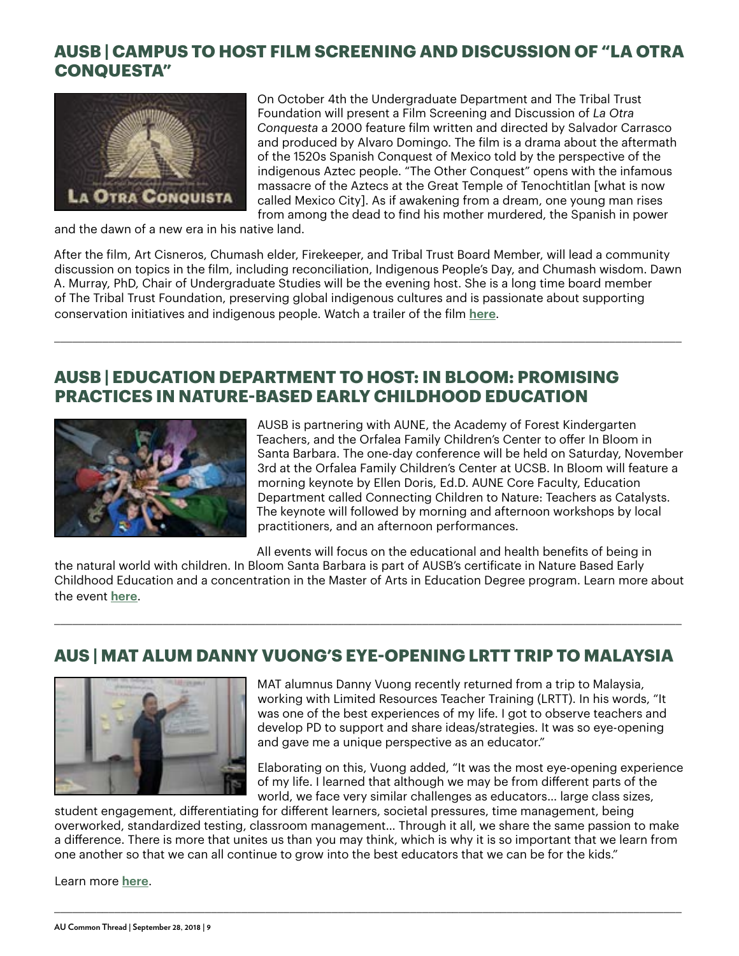#### **AUSB | CAMPUS TO HOST FILM SCREENING AND DISCUSSION OF "LA OTRA CONQUESTA"**



On October 4th the Undergraduate Department and The Tribal Trust Foundation will present a Film Screening and Discussion of *La Otra Conquesta* a 2000 feature film written and directed by Salvador Carrasco and produced by Alvaro Domingo. The film is a drama about the aftermath of the 1520s Spanish Conquest of Mexico told by the perspective of the indigenous Aztec people. "The Other Conquest" opens with the infamous massacre of the Aztecs at the Great Temple of Tenochtitlan [what is now called Mexico City]. As if awakening from a dream, one young man rises from among the dead to find his mother murdered, the Spanish in power

and the dawn of a new era in his native land.

After the film, Art Cisneros, Chumash elder, Firekeeper, and Tribal Trust Board Member, will lead a community discussion on topics in the film, including reconciliation, Indigenous People's Day, and Chumash wisdom. Dawn A. Murray, PhD, Chair of Undergraduate Studies will be the evening host. She is a long time board member of The Tribal Trust Foundation, preserving global indigenous cultures and is passionate about supporting conservation initiatives and indigenous people. Watch a trailer of the film **[here](https://www.imdb.com/videoplayer/vi999620889?playlistId=tt0175996&ref_=tt_ov_vi)**.

\_\_\_\_\_\_\_\_\_\_\_\_\_\_\_\_\_\_\_\_\_\_\_\_\_\_\_\_\_\_\_\_\_\_\_\_\_\_\_\_\_\_\_\_\_\_\_\_\_\_\_\_\_\_\_\_\_\_\_\_\_\_\_\_\_\_\_\_\_\_\_\_\_\_\_\_\_\_\_\_\_\_\_\_\_\_\_\_\_\_\_\_\_\_\_\_\_\_\_\_\_\_\_\_

#### **AUSB | EDUCATION DEPARTMENT TO HOST: IN BLOOM: PROMISING PRACTICES IN NATURE-BASED EARLY CHILDHOOD EDUCATION**



AUSB is partnering with AUNE, the Academy of Forest Kindergarten Teachers, and the Orfalea Family Children's Center to offer In Bloom in Santa Barbara. The one-day conference will be held on Saturday, November 3rd at the Orfalea Family Children's Center at UCSB. In Bloom will feature a morning keynote by Ellen Doris, Ed.D. AUNE Core Faculty, Education Department called Connecting Children to Nature: Teachers as Catalysts. The keynote will followed by morning and afternoon workshops by local practitioners, and an afternoon performances.

All events will focus on the educational and health benefits of being in

the natural world with children. In Bloom Santa Barbara is part of AUSB's certificate in Nature Based Early Childhood Education and a concentration in the Master of Arts in Education Degree program. Learn more about the event **[here](https://www.antioch.edu/santa-barbara/event/in-bloom-in-santa-barbara/)**.

\_\_\_\_\_\_\_\_\_\_\_\_\_\_\_\_\_\_\_\_\_\_\_\_\_\_\_\_\_\_\_\_\_\_\_\_\_\_\_\_\_\_\_\_\_\_\_\_\_\_\_\_\_\_\_\_\_\_\_\_\_\_\_\_\_\_\_\_\_\_\_\_\_\_\_\_\_\_\_\_\_\_\_\_\_\_\_\_\_\_\_\_\_\_\_\_\_\_\_\_\_\_\_\_

#### **AUS | MAT ALUM DANNY VUONG'S EYE-OPENING LRTT TRIP TO MALAYSIA**



MAT alumnus Danny Vuong recently returned from a trip to Malaysia, working with Limited Resources Teacher Training (LRTT). In his words, "It was one of the best experiences of my life. I got to observe teachers and develop PD to support and share ideas/strategies. It was so eye-opening and gave me a unique perspective as an educator."

Elaborating on this, Vuong added, "It was the most eye-opening experience of my life. I learned that although we may be from different parts of the world, we face very similar challenges as educators… large class sizes,

student engagement, differentiating for different learners, societal pressures, time management, being overworked, standardized testing, classroom management… Through it all, we share the same passion to make a difference. There is more that unites us than you may think, which is why it is so important that we learn from one another so that we can all continue to grow into the best educators that we can be for the kids."

\_\_\_\_\_\_\_\_\_\_\_\_\_\_\_\_\_\_\_\_\_\_\_\_\_\_\_\_\_\_\_\_\_\_\_\_\_\_\_\_\_\_\_\_\_\_\_\_\_\_\_\_\_\_\_\_\_\_\_\_\_\_\_\_\_\_\_\_\_\_\_\_\_\_\_\_\_\_\_\_\_\_\_\_\_\_\_\_\_\_\_\_\_\_\_\_\_\_\_\_\_\_\_\_

Learn more **[here](https://www.antioch.edu/seattle/2018/09/11/mat-alum-danny-vuongs-eye-opening-lrtt-trip-to-malaysia/)**.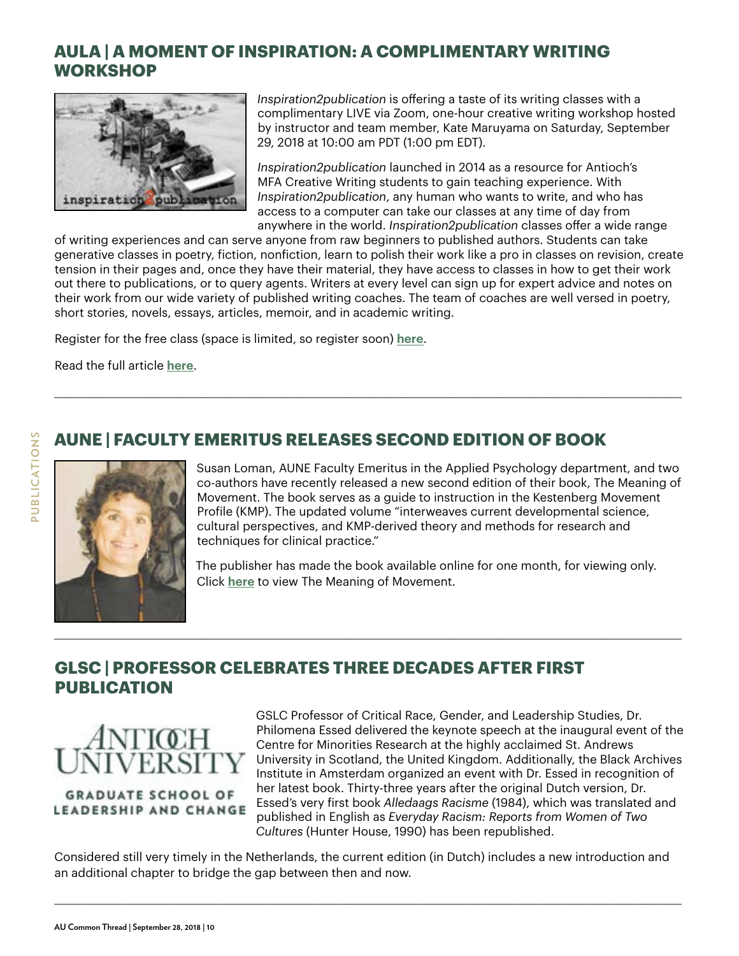#### **AULA | A MOMENT OF INSPIRATION: A COMPLIMENTARY WRITING WORKSHOP**



*Inspiration2publication* is offering a taste of its writing classes with a complimentary LIVE via Zoom, one-hour creative writing workshop hosted by instructor and team member, Kate Maruyama on Saturday, September 29, 2018 at 10:00 am PDT (1:00 pm EDT).

*Inspiration2publication* launched in 2014 as a resource for Antioch's MFA Creative Writing students to gain teaching experience. With *Inspiration2publication*, any human who wants to write, and who has access to a computer can take our classes at any time of day from anywhere in the world. *Inspiration2publication* classes offer a wide range

of writing experiences and can serve anyone from raw beginners to published authors. Students can take generative classes in poetry, fiction, nonfiction, learn to polish their work like a pro in classes on revision, create tension in their pages and, once they have their material, they have access to classes in how to get their work out there to publications, or to query agents. Writers at every level can sign up for expert advice and notes on their work from our wide variety of published writing coaches. The team of coaches are well versed in poetry, short stories, novels, essays, articles, memoir, and in academic writing.

\_\_\_\_\_\_\_\_\_\_\_\_\_\_\_\_\_\_\_\_\_\_\_\_\_\_\_\_\_\_\_\_\_\_\_\_\_\_\_\_\_\_\_\_\_\_\_\_\_\_\_\_\_\_\_\_\_\_\_\_\_\_\_\_\_\_\_\_\_\_\_\_\_\_\_\_\_\_\_\_\_\_\_\_\_\_\_\_\_\_\_\_\_\_\_\_\_\_\_\_\_\_\_\_

Register for the free class (space is limited, so register soon) **[here](https://www.antioch.edu/los-angeles/resources/community-resources/inspiration2publication/)**.

Read the full article **[here](https://www.antioch.edu/los-angeles/2018/09/14/a-moment-of-inspiration-a-complimentary-writing-workshop/)**.

### **AUNE | FACULTY EMERITUS RELEASES SECOND EDITION OF BOOK**



Susan Loman, AUNE Faculty Emeritus in the Applied Psychology department, and two co-authors have recently released a new second edition of their book, The Meaning of Movement. The book serves as a guide to instruction in the Kestenberg Movement Profile (KMP). The updated volume "interweaves current developmental science, cultural perspectives, and KMP-derived theory and methods for research and techniques for clinical practice."

The publisher has made the book available online for one month, for viewing only. Click **[here](https://rdcu.be/4fpH)** to view The Meaning of Movement.

#### **GLSC | PROFESSOR CELEBRATES THREE DECADES AFTER FIRST PUBLICATION**



**GRADUATE SCHOOL OF** LEADERSHIP AND CHANGE

GSLC Professor of Critical Race, Gender, and Leadership Studies, Dr. Philomena Essed delivered the keynote speech at the inaugural event of the Centre for Minorities Research at the highly acclaimed St. Andrews University in Scotland, the United Kingdom. Additionally, the Black Archives Institute in Amsterdam organized an event with Dr. Essed in recognition of her latest book. Thirty-three years after the original Dutch version, Dr. Essed's very first book *Alledaags Racisme* (1984), which was translated and published in English as *Everyday Racism: Reports from Women of Two Cultures* (Hunter House, 1990) has been republished.

Considered still very timely in the Netherlands, the current edition (in Dutch) includes a new introduction and an additional chapter to bridge the gap between then and now.

\_\_\_\_\_\_\_\_\_\_\_\_\_\_\_\_\_\_\_\_\_\_\_\_\_\_\_\_\_\_\_\_\_\_\_\_\_\_\_\_\_\_\_\_\_\_\_\_\_\_\_\_\_\_\_\_\_\_\_\_\_\_\_\_\_\_\_\_\_\_\_\_\_\_\_\_\_\_\_\_\_\_\_\_\_\_\_\_\_\_\_\_\_\_\_\_\_\_\_\_\_\_\_\_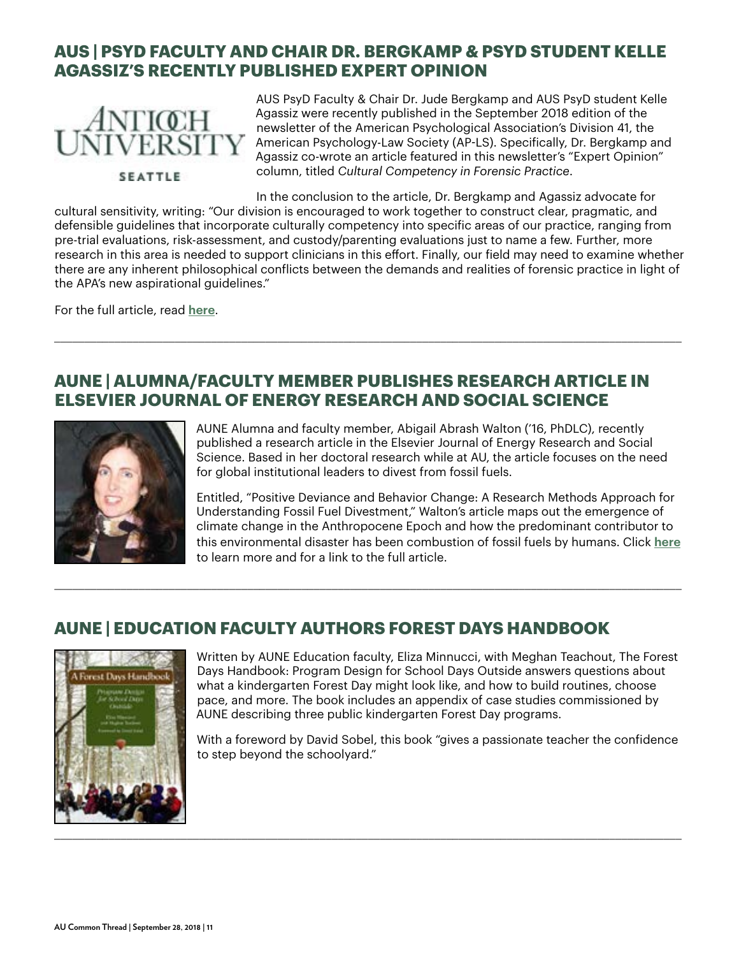#### **AUS | PSYD FACULTY AND CHAIR DR. BERGKAMP & PSYD STUDENT KELLE AGASSIZ'S RECENTLY PUBLISHED EXPERT OPINION**



AUS PsyD Faculty & Chair Dr. Jude Bergkamp and AUS PsyD student Kelle Agassiz were recently published in the September 2018 edition of the newsletter of the American Psychological Association's Division 41, the American Psychology-Law Society (AP-LS). Specifically, Dr. Bergkamp and Agassiz co-wrote an article featured in this newsletter's "Expert Opinion" column, titled *Cultural Competency in Forensic Practice*.

In the conclusion to the article, Dr. Bergkamp and Agassiz advocate for

cultural sensitivity, writing: "Our division is encouraged to work together to construct clear, pragmatic, and defensible guidelines that incorporate culturally competency into specific areas of our practice, ranging from pre-trial evaluations, risk-assessment, and custody/parenting evaluations just to name a few. Further, more research in this area is needed to support clinicians in this effort. Finally, our field may need to examine whether there are any inherent philosophical conflicts between the demands and realities of forensic practice in light of the APA's new aspirational guidelines."

\_\_\_\_\_\_\_\_\_\_\_\_\_\_\_\_\_\_\_\_\_\_\_\_\_\_\_\_\_\_\_\_\_\_\_\_\_\_\_\_\_\_\_\_\_\_\_\_\_\_\_\_\_\_\_\_\_\_\_\_\_\_\_\_\_\_\_\_\_\_\_\_\_\_\_\_\_\_\_\_\_\_\_\_\_\_\_\_\_\_\_\_\_\_\_\_\_\_\_\_\_\_\_\_

For the full article, read **[here](http://ap-ls.wildapricot.org/resources/EmailTemplates/2018_09%20September%20AP-LS%20Newsletter/ExpertOpinion9_18.pdf)**.

#### **AUNE | ALUMNA/FACULTY MEMBER PUBLISHES RESEARCH ARTICLE IN ELSEVIER JOURNAL OF ENERGY RESEARCH AND SOCIAL SCIENCE**



AUNE Alumna and faculty member, Abigail Abrash Walton ('16, PhDLC), recently published a research article in the Elsevier Journal of Energy Research and Social Science. Based in her doctoral research while at AU, the article focuses on the need for global institutional leaders to divest from fossil fuels.

Entitled, "Positive Deviance and Behavior Change: A Research Methods Approach for Understanding Fossil Fuel Divestment," Walton's article maps out the emergence of climate change in the Anthropocene Epoch and how the predominant contributor to this environmental disaster has been combustion of fossil fuels by humans. Click **[here](https://www.antioch.edu/new-england/2018/09/19/aune-alumna-faculty-member-publishes-research-article-in-elsevier-journal-of-energy-research-and-social-science/)** to learn more and for a link to the full article.

# **AUNE | EDUCATION FACULTY AUTHORS FOREST DAYS HANDBOOK**

\_\_\_\_\_\_\_\_\_\_\_\_\_\_\_\_\_\_\_\_\_\_\_\_\_\_\_\_\_\_\_\_\_\_\_\_\_\_\_\_\_\_\_\_\_\_\_\_\_\_\_\_\_\_\_\_\_\_\_\_\_\_\_\_\_\_\_\_\_\_\_\_\_\_\_\_\_\_\_\_\_\_\_\_\_\_\_\_\_\_\_\_\_\_\_\_\_\_\_\_\_\_\_\_



Written by AUNE Education faculty, Eliza Minnucci, with Meghan Teachout, The Forest Days Handbook: Program Design for School Days Outside answers questions about what a kindergarten Forest Day might look like, and how to build routines, choose pace, and more. The book includes an appendix of case studies commissioned by AUNE describing three public kindergarten Forest Day programs.

With a foreword by David Sobel, this book "gives a passionate teacher the confidence to step beyond the schoolyard."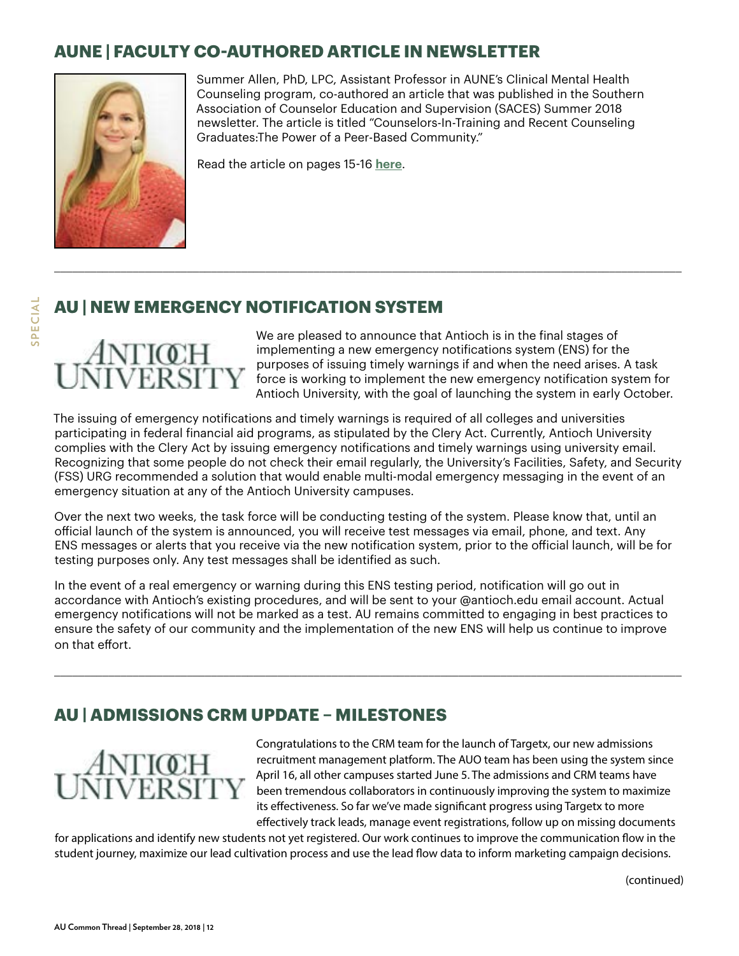#### **AUNE | FACULTY CO-AUTHORED ARTICLE IN NEWSLETTER**



Summer Allen, PhD, LPC, Assistant Professor in AUNE's Clinical Mental Health Counseling program, co-authored an article that was published in the Southern Association of Counselor Education and Supervision (SACES) Summer 2018 newsletter. The article is titled "Counselors-In-Training and Recent Counseling Graduates:The Power of a Peer-Based Community."

Read the article on pages 15-16 **[here](http://www.saces.org/resources/Documents/newsletter_summer_2018.pdf)**.

### **AU | NEW EMERGENCY NOTIFICATION SYSTEM**

# ANTIŒH<br>NIVERSITY

We are pleased to announce that Antioch is in the final stages of implementing a new emergency notifications system (ENS) for the purposes of issuing timely warnings if and when the need arises. A task force is working to implement the new emergency notification system for Antioch University, with the goal of launching the system in early October.

The issuing of emergency notifications and timely warnings is required of all colleges and universities participating in federal financial aid programs, as stipulated by the Clery Act. Currently, Antioch University complies with the Clery Act by issuing emergency notifications and timely warnings using university email. Recognizing that some people do not check their email regularly, the University's Facilities, Safety, and Security (FSS) URG recommended a solution that would enable multi-modal emergency messaging in the event of an emergency situation at any of the Antioch University campuses.

\_\_\_\_\_\_\_\_\_\_\_\_\_\_\_\_\_\_\_\_\_\_\_\_\_\_\_\_\_\_\_\_\_\_\_\_\_\_\_\_\_\_\_\_\_\_\_\_\_\_\_\_\_\_\_\_\_\_\_\_\_\_\_\_\_\_\_\_\_\_\_\_\_\_\_\_\_\_\_\_\_\_\_\_\_\_\_\_\_\_\_\_\_\_\_\_\_\_\_\_\_\_\_\_

Over the next two weeks, the task force will be conducting testing of the system. Please know that, until an official launch of the system is announced, you will receive test messages via email, phone, and text. Any ENS messages or alerts that you receive via the new notification system, prior to the official launch, will be for testing purposes only. Any test messages shall be identified as such.

In the event of a real emergency or warning during this ENS testing period, notification will go out in accordance with Antioch's existing procedures, and will be sent to your @antioch.edu email account. Actual emergency notifications will not be marked as a test. AU remains committed to engaging in best practices to ensure the safety of our community and the implementation of the new ENS will help us continue to improve on that effort.

\_\_\_\_\_\_\_\_\_\_\_\_\_\_\_\_\_\_\_\_\_\_\_\_\_\_\_\_\_\_\_\_\_\_\_\_\_\_\_\_\_\_\_\_\_\_\_\_\_\_\_\_\_\_\_\_\_\_\_\_\_\_\_\_\_\_\_\_\_\_\_\_\_\_\_\_\_\_\_\_\_\_\_\_\_\_\_\_\_\_\_\_\_\_\_\_\_\_\_\_\_\_\_\_

#### **AU | ADMISSIONS CRM UPDATE – MILESTONES**



Congratulations to the CRM team for the launch of Targetx, our new admissions recruitment management platform. The AUO team has been using the system since April 16, all other campuses started June 5. The admissions and CRM teams have been tremendous collaborators in continuously improving the system to maximize its effectiveness. So far we've made significant progress using Targetx to more effectively track leads, manage event registrations, follow up on missing documents

(continued)

for applications and identify new students not yet registered. Our work continues to improve the communication flow in the student journey, maximize our lead cultivation process and use the lead flow data to inform marketing campaign decisions.